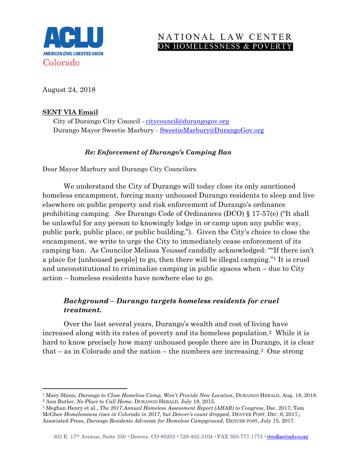

# NATIONAL LAW CENTER ON HOMELESSNESS & POVERTY

August 24, 2018

## **SENT VIA Email**

l

City of Durango City Council - [citycouncil@durangogov.org](mailto:citycouncil@durangogov.org) Durango Mayor Sweetie Marbury - [SweetieMarbury@DurangoGov.org](mailto:SweetieMarbury@DurangoGov.org)

## *Re: Enforcement of Durango's Camping Ban*

Dear Mayor Marbury and Durango City Councilors.

We understand the City of Durango will today close its only sanctioned homeless encampment, forcing many unhoused Durango residents to sleep and live elsewhere on public property and risk enforcement of Durango's ordinance prohibiting camping. *See* Durango Code of Ordinances (DCO) § 17-57(e) ("It shall be unlawful for any person to knowingly lodge in or camp upon any public way, public park, public place, or public building."). Given the City's choice to close the encampment, we write to urge the City to immediately cease enforcement of its camping ban. As Councilor Melissa Youssef candidly acknowledged: ""If there isn't a place for [unhoused people] to go, then there will be illegal camping."<sup>1</sup> It is cruel and unconstitutional to criminalize camping in public spaces when – due to City action – homeless residents have nowhere else to go.

# *Background – Durango targets homeless residents for cruel treatment.*

Over the last several years, Durango's wealth and cost of living have increased along with its rates of poverty and its homeless population.<sup>2</sup> While it is hard to know precisely how many unhoused people there are in Durango, it is clear that – as in Colorado and the nation – the numbers are increasing.3 One strong

<sup>3</sup> Meghan Henry et al., *The 2017 Annual Homeless Assessment Report (AHAR) to Congress*, Dec. 2017; Tom McGhee *Homelessness rises in Colorado in 2017, but Denver's count dropped,* DENVER POST, DEC. 6, 2017,; Associated Press, *Durango Residents Advocate for Homeless Campground*, DENVER POST, July 15, 2017.

<sup>1</sup> Mary Shinn, *Durango to Close Homeless Camp, Won't Provide New Location*, DURANGO HERALD, Aug. 18, 2018. <sup>2</sup> Ann Butler, *No Place to Call Home*, DURANGO HERALD, July 18, 2015.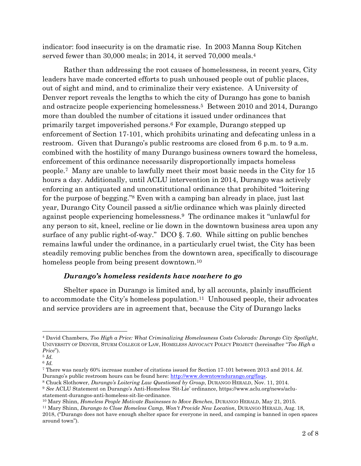indicator: food insecurity is on the dramatic rise. In 2003 Manna Soup Kitchen served fewer than 30,000 meals; in 2014, it served 70,000 meals.<sup>4</sup>

Rather than addressing the root causes of homelessness, in recent years, City leaders have made concerted efforts to push unhoused people out of public places, out of sight and mind, and to criminalize their very existence. A University of Denver report reveals the lengths to which the city of Durango has gone to banish and ostracize people experiencing homelessness. <sup>5</sup> Between 2010 and 2014, Durango more than doubled the number of citations it issued under ordinances that primarily target impoverished persons. <sup>6</sup> For example, Durango stepped up enforcement of Section 17-101, which prohibits urinating and defecating unless in a restroom. Given that Durango's public restrooms are closed from 6 p.m. to 9 a.m. combined with the hostility of many Durango business owners toward the homeless, enforcement of this ordinance necessarily disproportionally impacts homeless people. <sup>7</sup> Many are unable to lawfully meet their most basic needs in the City for 15 hours a day. Additionally, until ACLU intervention in 2014, Durango was actively enforcing an antiquated and unconstitutional ordinance that prohibited "loitering for the purpose of begging." <sup>8</sup> Even with a camping ban already in place, just last year, Durango City Council passed a sit/lie ordinance which was plainly directed against people experiencing homelessness. <sup>9</sup> The ordinance makes it "unlawful for any person to sit, kneel, recline or lie down in the downtown business area upon any surface of any public right-of-way." DCO §. 7.60. While sitting on public benches remains lawful under the ordinance, in a particularly cruel twist, the City has been steadily removing public benches from the downtown area, specifically to discourage homeless people from being present downtown.<sup>10</sup>

### *Durango's homeless residents have nowhere to go*

Shelter space in Durango is limited and, by all accounts, plainly insufficient to accommodate the City's homeless population.11 Unhoused people, their advocates and service providers are in agreement that, because the City of Durango lacks

l

<sup>4</sup> David Chambers, *Too High a Price: What Criminalizing Homelessness Costs Colorado: Durango City Spotlight*, UNIVERSITY OF DENVER, STURM COLLEGE OF LAW, HOMELESS ADVOCACY POLICY PROJECT (hereinafter "*Too High a Price*").

<sup>5</sup> *Id.*

<sup>6</sup> *Id.*

<sup>7</sup> There was nearly 60% increase number of citations issued for Section 17-101 between 2013 and 2014. *Id.* Durango's public restroom hours can be found here: [http://www.downtowndurango.org/faqs.](http://www.downtowndurango.org/faqs)

<sup>8</sup> Chuck Slothower, *Durango's Loitering Law Questioned by Group*, DURANGO HERALD, Nov. 11, 2014. <sup>9</sup> *See* ACLU Statement on Durango's Anti-Homeless 'Sit-Lie' ordinance, https://www.aclu.org/news/aclustatement-durangos-anti-homeless-sit-lie-ordinance.

<sup>10</sup> Mary Shinn, *Homeless People Motivate Businesses to Move Benches*, DURANGO HERALD, May 21, 2015.

<sup>11</sup> Mary Shinn, *Durango to Close Homeless Camp, Won't Provide New Location*, DURANGO HERALD, Aug. 18, 2018, ("Durango does not have enough shelter space for everyone in need, and camping is banned in open spaces around town").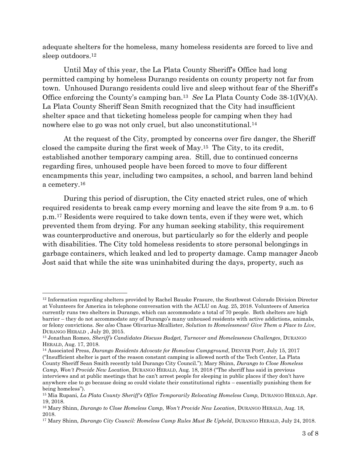adequate shelters for the homeless, many homeless residents are forced to live and sleep outdoors.<sup>12</sup>

Until May of this year, the La Plata County Sheriff's Office had long permitted camping by homeless Durango residents on county property not far from town. Unhoused Durango residents could live and sleep without fear of the Sheriff's Office enforcing the County's camping ban.<sup>13</sup> *See* La Plata County Code 38-1(IV)(A). La Plata County Sheriff Sean Smith recognized that the City had insufficient shelter space and that ticketing homeless people for camping when they had nowhere else to go was not only cruel, but also unconstitutional.<sup>14</sup>

At the request of the City, prompted by concerns over fire danger, the Sheriff closed the campsite during the first week of May. <sup>15</sup> The City, to its credit, established another temporary camping area. Still, due to continued concerns regarding fires, unhoused people have been forced to move to four different encampments this year, including two campsites, a school, and barren land behind a cemetery.<sup>16</sup>

During this period of disruption, the City enacted strict rules, one of which required residents to break camp every morning and leave the site from 9 a.m. to 6 p.m.<sup>17</sup> Residents were required to take down tents, even if they were wet, which prevented them from drying. For any human seeking stability, this requirement was counterproductive and onerous, but particularly so for the elderly and people with disabilities. The City told homeless residents to store personal belongings in garbage containers, which leaked and led to property damage. Camp manager Jacob Jost said that while the site was uninhabited during the days, property, such as

l

<sup>12</sup> Information regarding shelters provided by Rachel Bauske Frasure, the Southwest Colorado Division Director at Volunteers for America in telephone conversation with the ACLU on Aug. 25, 2018. Volunteers of America currently runs two shelters in Durango, which can accommodate a total of 70 people. Both shelters are high barrier – they do not accommodate any of Durango's many unhoused residents with active addictions, animals, or felony convictions. *See also* Chase Olivarius-Mcallister, *Solution to Homelessness? Give Them a Place to Live*, DURANGO HERALD , July 20, 2015.

<sup>13</sup> Jonathan Romeo, *Sheriff's Candidates Discuss Budget, Turnover and Homelessness Challenges*, DURANGO HERALD, Aug. 17, 2018.

<sup>14</sup> Associated Press, *Durango Residents Advocate for Homeless Campground*, DENVER POST, July 15, 2017 ("Insufficient shelter is part of the reason constant camping is allowed north of the Tech Center, La Plata County Sheriff Sean Smith recently told Durango City Council."); Mary Shinn, *Durango to Close Homeless Camp, Won't Provide New Location*, DURANGO HERALD, Aug. 18, 2018 ("The sheriff has said in previous interviews and at public meetings that he can't arrest people for sleeping in public places if they don't have anywhere else to go because doing so could violate their constitutional rights – essentially punishing them for being homeless").

<sup>15</sup> Mia Rupani, *La Plata County Sheriff's Office Temporarily Relocating Homeless Camp,* DURANGO HERALD, Apr. 19, 2018.

<sup>16</sup> Mary Shinn, *Durango to Close Homeless Camp, Won't Provide New Location*, DURANGO HERALD, Aug. 18, 2018.

<sup>&</sup>lt;sup>17</sup> Mary Shinn, *Durango City Council: Homeless Camp Rules Must Be Upheld*, DURANGO HERALD, July 24, 2018.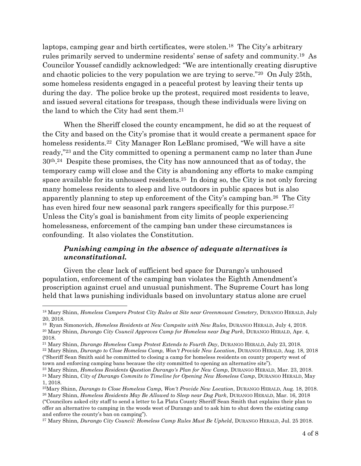laptops, camping gear and birth certificates, were stolen.<sup>18</sup> The City's arbitrary rules primarily served to undermine residents' sense of safety and community.<sup>19</sup> As Councilor Youssef candidly acknowledged: "We are intentionally creating disruptive and chaotic policies to the very population we are trying to serve."<sup>20</sup> On July 25th, some homeless residents engaged in a peaceful protest by leaving their tents up during the day. The police broke up the protest, required most residents to leave, and issued several citations for trespass, though these individuals were living on the land to which the City had sent them.<sup>21</sup>

When the Sheriff closed the county encampment, he did so at the request of the City and based on the City's promise that it would create a permanent space for homeless residents.<sup>22</sup> City Manager Ron LeBlanc promised, "We will have a site ready," <sup>23</sup> and the City committed to opening a permanent camp no later than June 30th. <sup>24</sup> Despite these promises, the City has now announced that as of today, the temporary camp will close and the City is abandoning any efforts to make camping space available for its unhoused residents.25 In doing so, the City is not only forcing many homeless residents to sleep and live outdoors in public spaces but is also apparently planning to step up enforcement of the City's camping ban.26 The City has even hired four new seasonal park rangers specifically for this purpose.<sup>27</sup> Unless the City's goal is banishment from city limits of people experiencing homelessness, enforcement of the camping ban under these circumstances is confounding. It also violates the Constitution.

### *Punishing camping in the absence of adequate alternatives is unconstitutional.*

Given the clear lack of sufficient bed space for Durango's unhoused population, enforcement of the camping ban violates the Eighth Amendment's proscription against cruel and unusual punishment. The Supreme Court has long held that laws punishing individuals based on involuntary status alone are cruel

 $\overline{a}$ 

("Councilors asked city staff to send a letter to La Plata County Sheriff Sean Smith that explains their plan to offer an alternative to camping in the woods west of Durango and to ask him to shut down the existing camp and enforce the county's ban on camping").

<sup>18</sup> Mary Shinn, *Homeless Campers Protest City Rules at Site near Greenmount Cemetery,* DURANGO HERALD, July 20, 2018.

<sup>19</sup> Ryan Simonovich, *Homeless Residents at New Campsite with New Rules*, DURANGO HERALD, July 4, 2018.

<sup>20</sup> Mary Shinn*, Durango City Council Approves Camp for Homeless near Dog Park*, DURANGO HERALD, Apr. 4, 2018.

<sup>21</sup> Mary Shinn, *Durango Homeless Camp Protest Extends to Fourth Day*, DURANGO HERALD, July 23, 2018.

<sup>22</sup> Mary Shinn, *Durango to Close Homeless Camp, Won't Provide New Location*, DURANGO HERALD, Aug. 18, 2018 ("Sheriff Sean Smith said he committed to closing a camp for homeless residents on county property west of town and enforcing camping bans because the city committed to opening an alternative site").

<sup>23</sup> Mary Shinn, *Homeless Residents Question Durango's Plan for New Camp*, DURANGO HERALD, Mar. 23, 2018. <sup>24</sup> Mary Shinn, *City of Durango Commits to Timeline for Opening New Homeless Camp*, DURANGO HERALD, May

<sup>1, 2018.</sup> <sup>25</sup>Mary Shinn, *Durango to Close Homeless Camp, Won't Provide New Location*, DURANGO HERALD, Aug. 18, 2018. <sup>26</sup> Mary Shinn, *Homeless Residents May Be Allowed to Sleep near Dog Park*, DURANGO HERALD, Mar. 16, 2018

<sup>27</sup> Mary Shinn*, Durango City Council: Homeless Camp Rules Must Be Upheld*, DURANGO HERALD, Jul. 25 2018.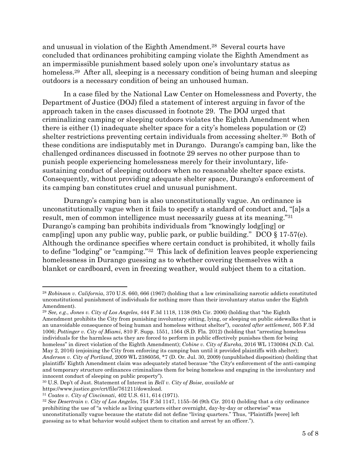and unusual in violation of the Eighth Amendment.<sup>28</sup> Several courts have concluded that ordinances prohibiting camping violate the Eighth Amendment as an impermissible punishment based solely upon one's involuntary status as homeless.<sup>29</sup> After all, sleeping is a necessary condition of being human and sleeping outdoors is a necessary condition of being an unhoused human.

In a case filed by the National Law Center on Homelessness and Poverty, the Department of Justice (DOJ) filed a statement of interest arguing in favor of the approach taken in the cases discussed in footnote 29. The DOJ urged that criminalizing camping or sleeping outdoors violates the Eighth Amendment when there is either (1) inadequate shelter space for a city's homeless population or (2) shelter restrictions preventing certain individuals from accessing shelter.<sup>30</sup> Both of these conditions are indisputably met in Durango. Durango's camping ban, like the challenged ordinances discussed in footnote 29 serves no other purpose than to punish people experiencing homelessness merely for their involuntary, lifesustaining conduct of sleeping outdoors when no reasonable shelter space exists. Consequently, without providing adequate shelter space, Durango's enforcement of its camping ban constitutes cruel and unusual punishment.

Durango's camping ban is also unconstitutionally vague. An ordinance is unconstitutionally vague when it fails to specify a standard of conduct and, "[a]s a result, men of common intelligence must necessarily guess at its meaning."<sup>31</sup> Durango's camping ban prohibits individuals from "knowingly lodg[ing] or camp[ing] upon any public way, public park, or public building." DCO § 17-57(e). Although the ordinance specifies where certain conduct is prohibited, it wholly fails to define "lodging" or "camping."<sup>32</sup> This lack of definition leaves people experiencing homelessness in Durango guessing as to whether covering themselves with a blanket or cardboard, even in freezing weather, would subject them to a citation.

 $\overline{\phantom{a}}$ 

<sup>28</sup> *Robinson v. California*, 370 U.S. 660, 666 (1967) (holding that a law criminalizing narcotic addicts constituted unconstitutional punishment of individuals for nothing more than their involuntary status under the Eighth Amendment).

<sup>29</sup> *See, e.g.*, *Jones v. City of Los Angeles*, 444 F.3d 1118, 1138 (9th Cir. 2006) (holding that "the Eighth Amendment prohibits the City from punishing involuntary sitting, lying, or sleeping on public sidewalks that is an unavoidable consequence of being human and homeless without shelter"), *vacated after settlement*, 505 F.3d 1006; *Pottinger v. City of Miami*, 810 F. Supp. 1551, 1564 (S.D. Fla. 2012) (holding that "arresting homeless individuals for the harmless acts they are forced to perform in public effectively punishes them for being homeless" in direct violation of the Eighth Amendment); *Cobine v. City of Eureka*, 2016 WL 1730084 (N.D. Cal. May 2, 2016) (enjoining the City from enforcing its camping ban until it provided plaintiffs with shelter); *Anderson v. City of Portland*, 2009 WL 2386056, \*7 (D. Or. Jul. 30, 2009) (unpublished disposition) (holding that plaintiffs' Eighth Amendment claim was adequately stated because "the City's enforcement of the anti-camping and temporary structure ordinances criminalizes them for being homeless and engaging in the involuntary and innocent conduct of sleeping on public property").

<sup>30</sup> U.S. Dep't of Just. Statement of Interest in *Bell v. City of Boise*, *available at* 

https://www.justice.gov/crt/file/761211/download.

<sup>31</sup> *Coates v. City of Cincinnati*, 402 U.S. 611, 614 (1971).

<sup>32</sup> *See Desertrain v. City of Los Angeles*, 754 F.3d 1147, 1155–56 (9th Cir. 2014) (holding that a city ordinance prohibiting the use of "a vehicle as living quarters either overnight, day-by-day or otherwise" was unconstitutionally vague because the statute did not define "living quarters." Thus, "Plaintiffs [were] left guessing as to what behavior would subject them to citation and arrest by an officer.").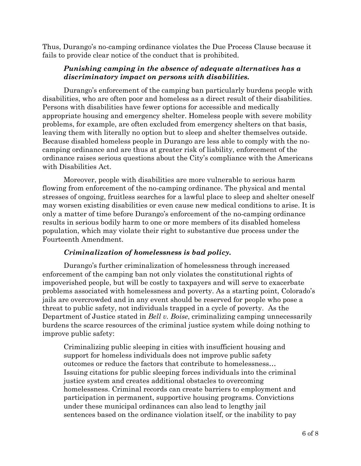Thus, Durango's no-camping ordinance violates the Due Process Clause because it fails to provide clear notice of the conduct that is prohibited.

### *Punishing camping in the absence of adequate alternatives has a discriminatory impact on persons with disabilities.*

Durango's enforcement of the camping ban particularly burdens people with disabilities, who are often poor and homeless as a direct result of their disabilities. Persons with disabilities have fewer options for accessible and medically appropriate housing and emergency shelter. Homeless people with severe mobility problems, for example, are often excluded from emergency shelters on that basis, leaving them with literally no option but to sleep and shelter themselves outside. Because disabled homeless people in Durango are less able to comply with the nocamping ordinance and are thus at greater risk of liability, enforcement of the ordinance raises serious questions about the City's compliance with the Americans with Disabilities Act.

Moreover, people with disabilities are more vulnerable to serious harm flowing from enforcement of the no-camping ordinance. The physical and mental stresses of ongoing, fruitless searches for a lawful place to sleep and shelter oneself may worsen existing disabilities or even cause new medical conditions to arise. It is only a matter of time before Durango's enforcement of the no-camping ordinance results in serious bodily harm to one or more members of its disabled homeless population, which may violate their right to substantive due process under the Fourteenth Amendment.

### *Criminalization of homelessness is bad policy.*

Durango's further criminalization of homelessness through increased enforcement of the camping ban not only violates the constitutional rights of impoverished people, but will be costly to taxpayers and will serve to exacerbate problems associated with homelessness and poverty. As a starting point, Colorado's jails are overcrowded and in any event should be reserved for people who pose a threat to public safety, not individuals trapped in a cycle of poverty. As the Department of Justice stated in *Bell v. Boise*, criminalizing camping unnecessarily burdens the scarce resources of the criminal justice system while doing nothing to improve public safety:

Criminalizing public sleeping in cities with insufficient housing and support for homeless individuals does not improve public safety outcomes or reduce the factors that contribute to homelessness… Issuing citations for public sleeping forces individuals into the criminal justice system and creates additional obstacles to overcoming homelessness. Criminal records can create barriers to employment and participation in permanent, supportive housing programs. Convictions under these municipal ordinances can also lead to lengthy jail sentences based on the ordinance violation itself, or the inability to pay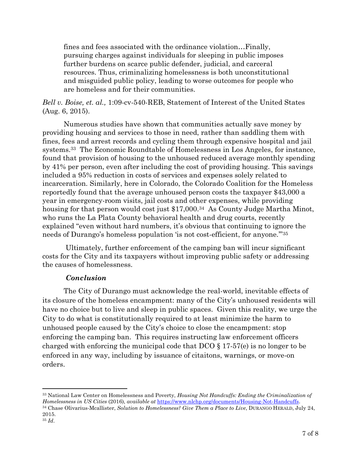fines and fees associated with the ordinance violation…Finally, pursuing charges against individuals for sleeping in public imposes further burdens on scarce public defender, judicial, and carceral resources. Thus, criminalizing homelessness is both unconstitutional and misguided public policy, leading to worse outcomes for people who are homeless and for their communities.

*Bell v. Boise, et. al.,* 1:09-cv-540-REB, Statement of Interest of the United States (Aug. 6, 2015).

Numerous studies have shown that communities actually save money by providing housing and services to those in need, rather than saddling them with fines, fees and arrest records and cycling them through expensive hospital and jail systems.<sup>33</sup> The Economic Roundtable of Homelessness in Los Angeles, for instance, found that provision of housing to the unhoused reduced average monthly spending by 41% per person, even after including the cost of providing housing. This savings included a 95% reduction in costs of services and expenses solely related to incarceration. Similarly, here in Colorado, the Colorado Coalition for the Homeless reportedly found that the average unhoused person costs the taxpayer \$43,000 a year in emergency-room visits, jail costs and other expenses, while providing housing for that person would cost just \$17,000.<sup>34</sup> As County Judge Martha Minot, who runs the La Plata County behavioral health and drug courts, recently explained "even without hard numbers, it's obvious that continuing to ignore the needs of Durango's homeless population 'is not cost-efficient, for anyone.'" <sup>35</sup>

Ultimately, further enforcement of the camping ban will incur significant costs for the City and its taxpayers without improving public safety or addressing the causes of homelessness.

### *Conclusion*

The City of Durango must acknowledge the real-world, inevitable effects of its closure of the homeless encampment: many of the City's unhoused residents will have no choice but to live and sleep in public spaces. Given this reality, we urge the City to do what is constitutionally required to at least minimize the harm to unhoused people caused by the City's choice to close the encampment: stop enforcing the camping ban. This requires instructing law enforcement officers charged with enforcing the municipal code that DCO § 17-57(e) is no longer to be enforced in any way, including by issuance of citaitons, warnings, or move-on orders.

l

<sup>33</sup> National Law Center on Homelessness and Poverty, *Housing Not Handcuffs: Ending the Criminalization of Homelessness in US Cities* (2016), *available at* [https://www.nlchp.org/documents/Housing-Not-Handcuffs.](https://www.nlchp.org/documents/Housing-Not-Handcuffs) <sup>34</sup> Chase Olivarius-Mcallister, *Solution to Homelessness? Give Them a Place to Live*, DURANGO HERALD, July 24, 2015.